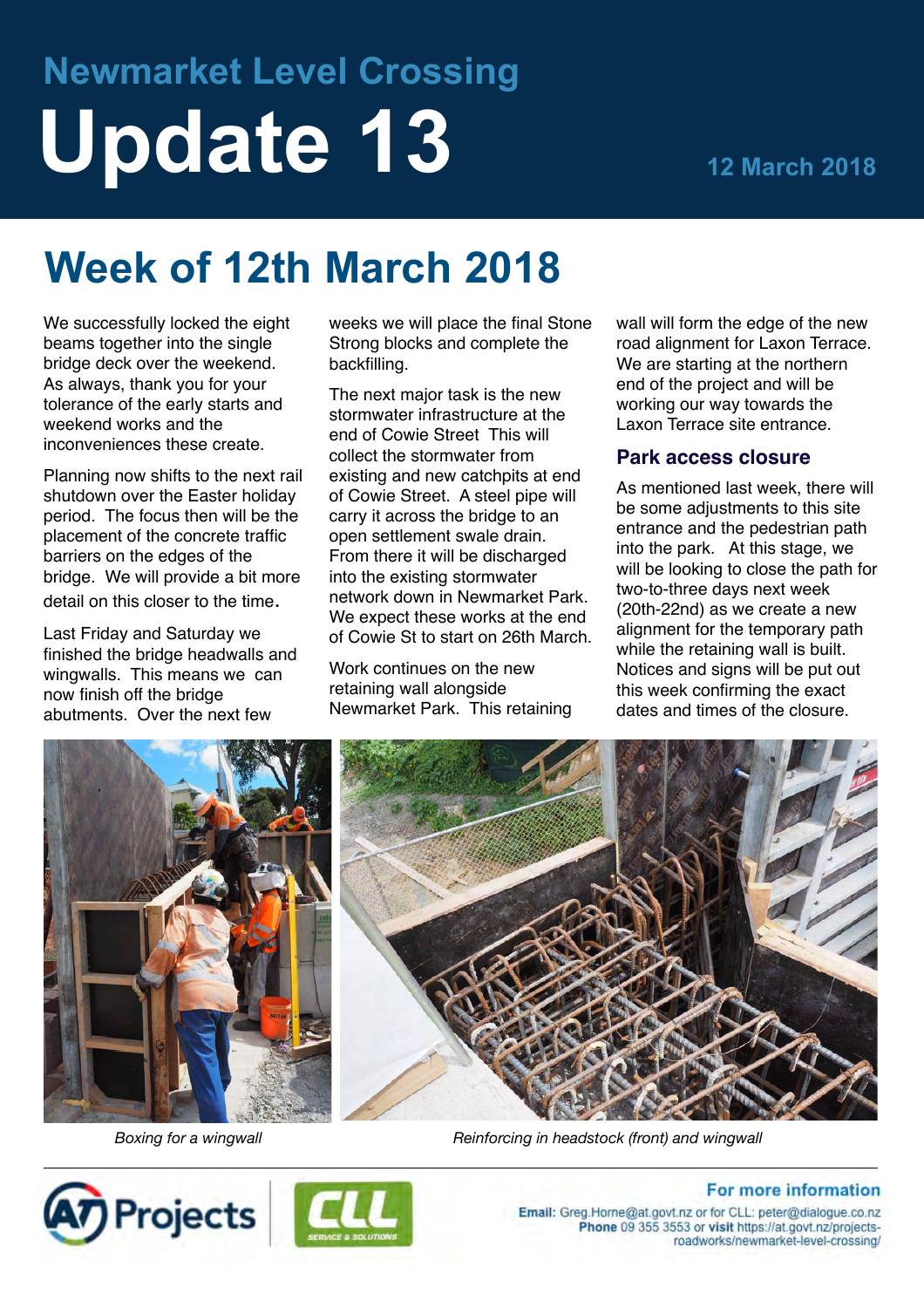# **Newmarket Level Crossing Update 13 12 March 2018**

# **Week of 12th March 2018**

We successfully locked the eight beams together into the single bridge deck over the weekend. As always, thank you for your tolerance of the early starts and weekend works and the inconveniences these create.

Planning now shifts to the next rail shutdown over the Easter holiday period. The focus then will be the placement of the concrete traffic barriers on the edges of the bridge. We will provide a bit more detail on this closer to the time.

Last Friday and Saturday we finished the bridge headwalls and wingwalls. This means we can now finish off the bridge abutments. Over the next few

weeks we will place the final Stone Strong blocks and complete the backfilling.

The next major task is the new stormwater infrastructure at the end of Cowie Street This will collect the stormwater from existing and new catchpits at end of Cowie Street. A steel pipe will carry it across the bridge to an open settlement swale drain. From there it will be discharged into the existing stormwater network down in Newmarket Park. We expect these works at the end of Cowie St to start on 26th March.

Work continues on the new retaining wall alongside Newmarket Park. This retaining wall will form the edge of the new road alignment for Laxon Terrace. We are starting at the northern end of the project and will be working our way towards the Laxon Terrace site entrance.

#### **Park access closure**

As mentioned last week, there will be some adjustments to this site entrance and the pedestrian path into the park. At this stage, we will be looking to close the path for two-to-three days next week (20th-22nd) as we create a new alignment for the temporary path while the retaining wall is built. Notices and signs will be put out this week confirming the exact dates and times of the closure.



*Boxing for a wingwall Reinforcing in headstock (front) and wingwall*





# **For more information**

Email: Greg.Horne@at.govt.nz or for CLL: peter@dialogue.co.nz Phone 09 355 3553 or visit https://at.govt.nz/projectsroadworks/newmarket-level-crossing/